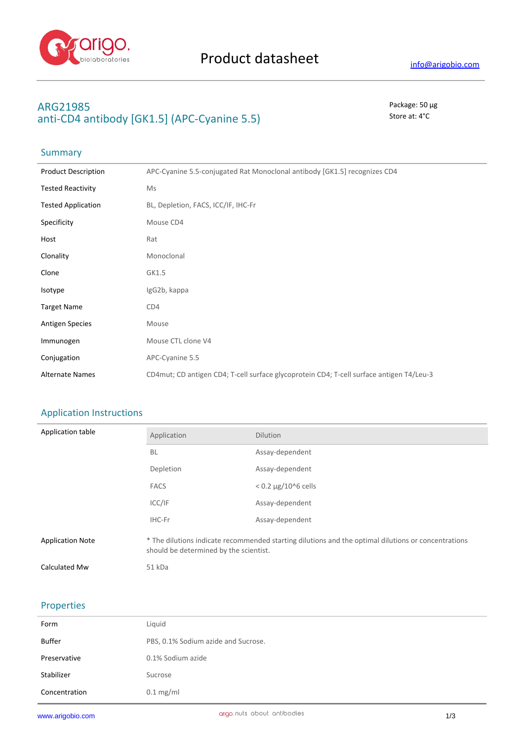

## **ARG21985** Package: 50 μg anti-CD4 antibody [GK1.5] (APC-Cyanine 5.5) Store at: 4<sup>°</sup>C

# Summary

| <b>Product Description</b> | APC-Cyanine 5.5-conjugated Rat Monoclonal antibody [GK1.5] recognizes CD4                |
|----------------------------|------------------------------------------------------------------------------------------|
| <b>Tested Reactivity</b>   | Ms                                                                                       |
| <b>Tested Application</b>  | BL, Depletion, FACS, ICC/IF, IHC-Fr                                                      |
| Specificity                | Mouse CD4                                                                                |
| Host                       | Rat                                                                                      |
| Clonality                  | Monoclonal                                                                               |
| Clone                      | GK1.5                                                                                    |
| Isotype                    | IgG2b, kappa                                                                             |
| <b>Target Name</b>         | CD4                                                                                      |
| <b>Antigen Species</b>     | Mouse                                                                                    |
| Immunogen                  | Mouse CTL clone V4                                                                       |
| Conjugation                | APC-Cyanine 5.5                                                                          |
| <b>Alternate Names</b>     | CD4mut; CD antigen CD4; T-cell surface glycoprotein CD4; T-cell surface antigen T4/Leu-3 |

## Application Instructions

| Application table       | Application                                                                                                                                   | <b>Dilution</b>          |
|-------------------------|-----------------------------------------------------------------------------------------------------------------------------------------------|--------------------------|
|                         | <b>BL</b>                                                                                                                                     | Assay-dependent          |
|                         | Depletion                                                                                                                                     | Assay-dependent          |
|                         | <b>FACS</b>                                                                                                                                   | $< 0.2 \mu$ g/10^6 cells |
|                         | ICC/IF                                                                                                                                        | Assay-dependent          |
|                         | IHC-Fr                                                                                                                                        | Assay-dependent          |
| <b>Application Note</b> | * The dilutions indicate recommended starting dilutions and the optimal dilutions or concentrations<br>should be determined by the scientist. |                          |
| Calculated Mw           | 51 kDa                                                                                                                                        |                          |

#### Properties

| Form          | Liquid                              |
|---------------|-------------------------------------|
| Buffer        | PBS, 0.1% Sodium azide and Sucrose. |
| Preservative  | 0.1% Sodium azide                   |
| Stabilizer    | Sucrose                             |
| Concentration | $0.1$ mg/ml                         |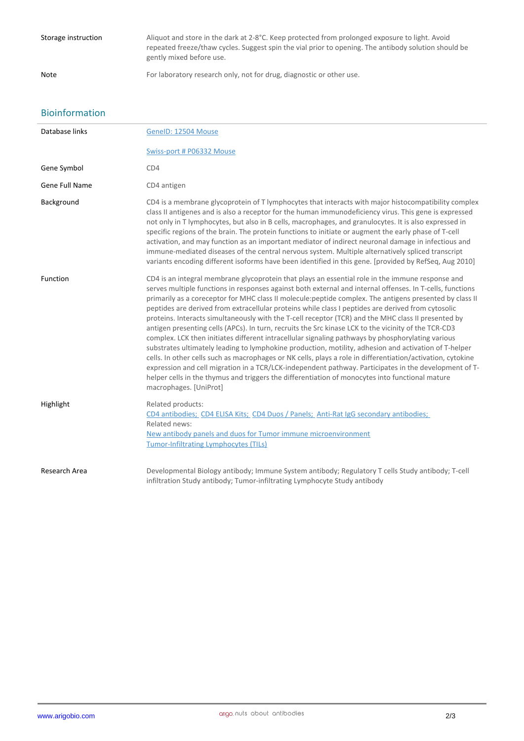### Bioinformation

| Database links | GeneID: 12504 Mouse                                                                                                                                                                                                                                                                                                                                                                                                                                                                                                                                                                                                                                                                                                                                                                                                                                                                                                                                                                                                                                                                                                                                                                                               |
|----------------|-------------------------------------------------------------------------------------------------------------------------------------------------------------------------------------------------------------------------------------------------------------------------------------------------------------------------------------------------------------------------------------------------------------------------------------------------------------------------------------------------------------------------------------------------------------------------------------------------------------------------------------------------------------------------------------------------------------------------------------------------------------------------------------------------------------------------------------------------------------------------------------------------------------------------------------------------------------------------------------------------------------------------------------------------------------------------------------------------------------------------------------------------------------------------------------------------------------------|
|                | Swiss-port # P06332 Mouse                                                                                                                                                                                                                                                                                                                                                                                                                                                                                                                                                                                                                                                                                                                                                                                                                                                                                                                                                                                                                                                                                                                                                                                         |
| Gene Symbol    | CD4                                                                                                                                                                                                                                                                                                                                                                                                                                                                                                                                                                                                                                                                                                                                                                                                                                                                                                                                                                                                                                                                                                                                                                                                               |
| Gene Full Name | CD4 antigen                                                                                                                                                                                                                                                                                                                                                                                                                                                                                                                                                                                                                                                                                                                                                                                                                                                                                                                                                                                                                                                                                                                                                                                                       |
| Background     | CD4 is a membrane glycoprotein of T lymphocytes that interacts with major histocompatibility complex<br>class II antigenes and is also a receptor for the human immunodeficiency virus. This gene is expressed<br>not only in T lymphocytes, but also in B cells, macrophages, and granulocytes. It is also expressed in<br>specific regions of the brain. The protein functions to initiate or augment the early phase of T-cell<br>activation, and may function as an important mediator of indirect neuronal damage in infectious and<br>immune-mediated diseases of the central nervous system. Multiple alternatively spliced transcript<br>variants encoding different isoforms have been identified in this gene. [provided by RefSeq, Aug 2010]                                                                                                                                                                                                                                                                                                                                                                                                                                                           |
| Function       | CD4 is an integral membrane glycoprotein that plays an essential role in the immune response and<br>serves multiple functions in responses against both external and internal offenses. In T-cells, functions<br>primarily as a coreceptor for MHC class II molecule: peptide complex. The antigens presented by class II<br>peptides are derived from extracellular proteins while class I peptides are derived from cytosolic<br>proteins. Interacts simultaneously with the T-cell receptor (TCR) and the MHC class II presented by<br>antigen presenting cells (APCs). In turn, recruits the Src kinase LCK to the vicinity of the TCR-CD3<br>complex. LCK then initiates different intracellular signaling pathways by phosphorylating various<br>substrates ultimately leading to lymphokine production, motility, adhesion and activation of T-helper<br>cells. In other cells such as macrophages or NK cells, plays a role in differentiation/activation, cytokine<br>expression and cell migration in a TCR/LCK-independent pathway. Participates in the development of T-<br>helper cells in the thymus and triggers the differentiation of monocytes into functional mature<br>macrophages. [UniProt] |
| Highlight      | Related products:<br>CD4 antibodies; CD4 ELISA Kits; CD4 Duos / Panels; Anti-Rat IgG secondary antibodies;<br>Related news:<br>New antibody panels and duos for Tumor immune microenvironment<br><b>Tumor-Infiltrating Lymphocytes (TILs)</b>                                                                                                                                                                                                                                                                                                                                                                                                                                                                                                                                                                                                                                                                                                                                                                                                                                                                                                                                                                     |
| Research Area  | Developmental Biology antibody; Immune System antibody; Regulatory T cells Study antibody; T-cell<br>infiltration Study antibody; Tumor-infiltrating Lymphocyte Study antibody                                                                                                                                                                                                                                                                                                                                                                                                                                                                                                                                                                                                                                                                                                                                                                                                                                                                                                                                                                                                                                    |